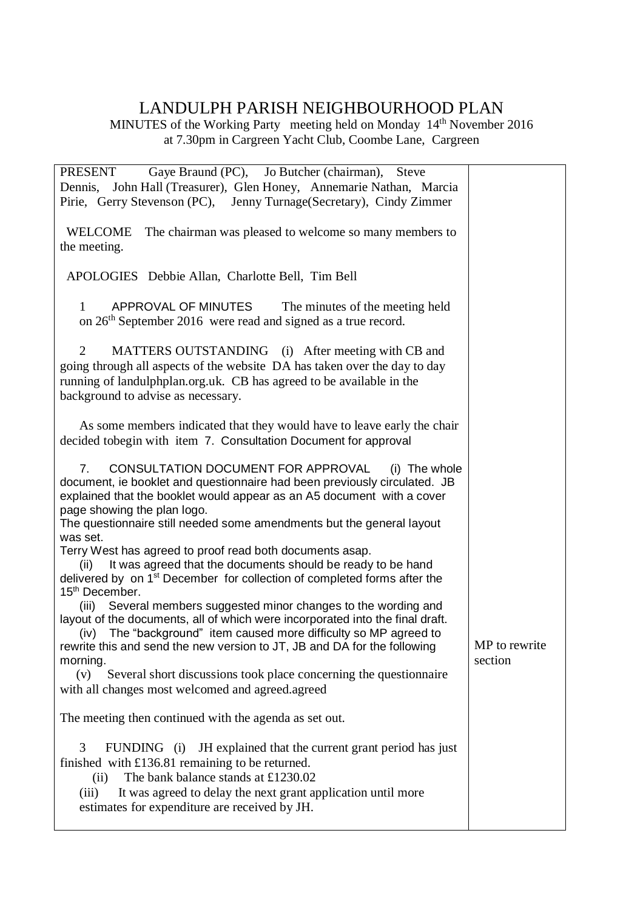## LANDULPH PARISH NEIGHBOURHOOD PLAN

MINUTES of the Working Party meeting held on Monday 14<sup>th</sup> November 2016 at 7.30pm in Cargreen Yacht Club, Coombe Lane, Cargreen

| Gaye Braund (PC), Jo Butcher (chairman), Steve<br><b>PRESENT</b>                                                                                                                                                                                                                                                                                                                                                                                                                    |                          |
|-------------------------------------------------------------------------------------------------------------------------------------------------------------------------------------------------------------------------------------------------------------------------------------------------------------------------------------------------------------------------------------------------------------------------------------------------------------------------------------|--------------------------|
| Dennis, John Hall (Treasurer), Glen Honey, Annemarie Nathan, Marcia                                                                                                                                                                                                                                                                                                                                                                                                                 |                          |
| Pirie, Gerry Stevenson (PC), Jenny Turnage (Secretary), Cindy Zimmer                                                                                                                                                                                                                                                                                                                                                                                                                |                          |
| WELCOME<br>The chairman was pleased to welcome so many members to<br>the meeting.                                                                                                                                                                                                                                                                                                                                                                                                   |                          |
| APOLOGIES Debbie Allan, Charlotte Bell, Tim Bell                                                                                                                                                                                                                                                                                                                                                                                                                                    |                          |
| APPROVAL OF MINUTES<br>The minutes of the meeting held<br>1<br>on 26 <sup>th</sup> September 2016 were read and signed as a true record.                                                                                                                                                                                                                                                                                                                                            |                          |
| 2<br>MATTERS OUTSTANDING (i) After meeting with CB and<br>going through all aspects of the website DA has taken over the day to day<br>running of landulphplan.org.uk. CB has agreed to be available in the<br>background to advise as necessary.                                                                                                                                                                                                                                   |                          |
| As some members indicated that they would have to leave early the chair<br>decided tobegin with item 7. Consultation Document for approval                                                                                                                                                                                                                                                                                                                                          |                          |
| CONSULTATION DOCUMENT FOR APPROVAL<br>7 <sub>1</sub><br>(i) The whole<br>document, ie booklet and questionnaire had been previously circulated. JB<br>explained that the booklet would appear as an A5 document with a cover<br>page showing the plan logo.<br>The questionnaire still needed some amendments but the general layout<br>was set.<br>Terry West has agreed to proof read both documents asap.<br>It was agreed that the documents should be ready to be hand<br>(ii) |                          |
| delivered by on 1 <sup>st</sup> December for collection of completed forms after the<br>15 <sup>th</sup> December.                                                                                                                                                                                                                                                                                                                                                                  |                          |
| (iii) Several members suggested minor changes to the wording and<br>layout of the documents, all of which were incorporated into the final draft.<br>The "background" item caused more difficulty so MP agreed to<br>(iv)<br>rewrite this and send the new version to JT, JB and DA for the following<br>morning.                                                                                                                                                                   | MP to rewrite<br>section |
| Several short discussions took place concerning the questionnaire<br>(v)<br>with all changes most welcomed and agreed.agreed                                                                                                                                                                                                                                                                                                                                                        |                          |
| The meeting then continued with the agenda as set out.                                                                                                                                                                                                                                                                                                                                                                                                                              |                          |
| 3<br>FUNDING (i) JH explained that the current grant period has just<br>finished with $£136.81$ remaining to be returned.<br>The bank balance stands at £1230.02<br>(ii)<br>It was agreed to delay the next grant application until more<br>(iii)<br>estimates for expenditure are received by JH.                                                                                                                                                                                  |                          |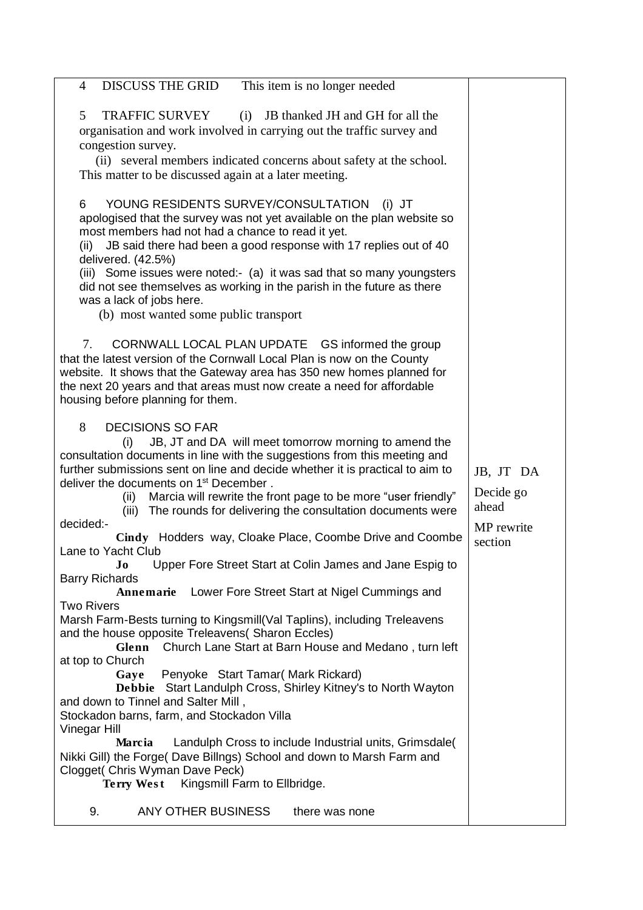| DISCUSS THE GRID<br>This item is no longer needed<br>$\overline{4}$                                                                                                                                                                                                                                                                                                                                                                                                                                                                                                                                                                                                                                                                                                                               |                                                          |
|---------------------------------------------------------------------------------------------------------------------------------------------------------------------------------------------------------------------------------------------------------------------------------------------------------------------------------------------------------------------------------------------------------------------------------------------------------------------------------------------------------------------------------------------------------------------------------------------------------------------------------------------------------------------------------------------------------------------------------------------------------------------------------------------------|----------------------------------------------------------|
| 5<br><b>TRAFFIC SURVEY</b><br>(i)<br>JB thanked JH and GH for all the<br>organisation and work involved in carrying out the traffic survey and<br>congestion survey.<br>(ii) several members indicated concerns about safety at the school.                                                                                                                                                                                                                                                                                                                                                                                                                                                                                                                                                       |                                                          |
| This matter to be discussed again at a later meeting.                                                                                                                                                                                                                                                                                                                                                                                                                                                                                                                                                                                                                                                                                                                                             |                                                          |
| YOUNG RESIDENTS SURVEY/CONSULTATION<br>6<br>$(i)$ JT<br>apologised that the survey was not yet available on the plan website so<br>most members had not had a chance to read it yet.<br>JB said there had been a good response with 17 replies out of 40<br>(ii)<br>delivered. (42.5%)<br>(iii) Some issues were noted:- (a) it was sad that so many youngsters<br>did not see themselves as working in the parish in the future as there<br>was a lack of jobs here.<br>(b) most wanted some public transport                                                                                                                                                                                                                                                                                    |                                                          |
| CORNWALL LOCAL PLAN UPDATE GS informed the group<br>$7_{\scriptscriptstyle{\sim}}$<br>that the latest version of the Cornwall Local Plan is now on the County<br>website. It shows that the Gateway area has 350 new homes planned for<br>the next 20 years and that areas must now create a need for affordable<br>housing before planning for them.                                                                                                                                                                                                                                                                                                                                                                                                                                             |                                                          |
| 8<br><b>DECISIONS SO FAR</b><br>JB, JT and DA will meet tomorrow morning to amend the<br>(i)<br>consultation documents in line with the suggestions from this meeting and<br>further submissions sent on line and decide whether it is practical to aim to<br>deliver the documents on 1 <sup>st</sup> December.<br>(ii) Marcia will rewrite the front page to be more "user friendly"<br>(iii) The rounds for delivering the consultation documents were<br>decided:-<br>Cindy Hodders way, Cloake Place, Coombe Drive and Coombe<br>Lane to Yacht Club<br>Upper Fore Street Start at Colin James and Jane Espig to<br>Jo                                                                                                                                                                        | JB, JT DA<br>Decide go<br>ahead<br>MP rewrite<br>section |
| <b>Barry Richards</b>                                                                                                                                                                                                                                                                                                                                                                                                                                                                                                                                                                                                                                                                                                                                                                             |                                                          |
| Annemarie Lower Fore Street Start at Nigel Cummings and<br><b>Two Rivers</b><br>Marsh Farm-Bests turning to Kingsmill(Val Taplins), including Treleavens<br>and the house opposite Treleavens( Sharon Eccles)<br>Church Lane Start at Barn House and Medano, turn left<br>Glenn<br>at top to Church<br>Penyoke Start Tamar (Mark Rickard)<br>Gaye<br>Debbie Start Landulph Cross, Shirley Kitney's to North Wayton<br>and down to Tinnel and Salter Mill,<br>Stockadon barns, farm, and Stockadon Villa<br>Vinegar Hill<br>Landulph Cross to include Industrial units, Grimsdale(<br>Marcia<br>Nikki Gill) the Forge( Dave Billngs) School and down to Marsh Farm and<br>Clogget( Chris Wyman Dave Peck)<br>Terry West Kingsmill Farm to Ellbridge.<br>ANY OTHER BUSINESS<br>9.<br>there was none |                                                          |